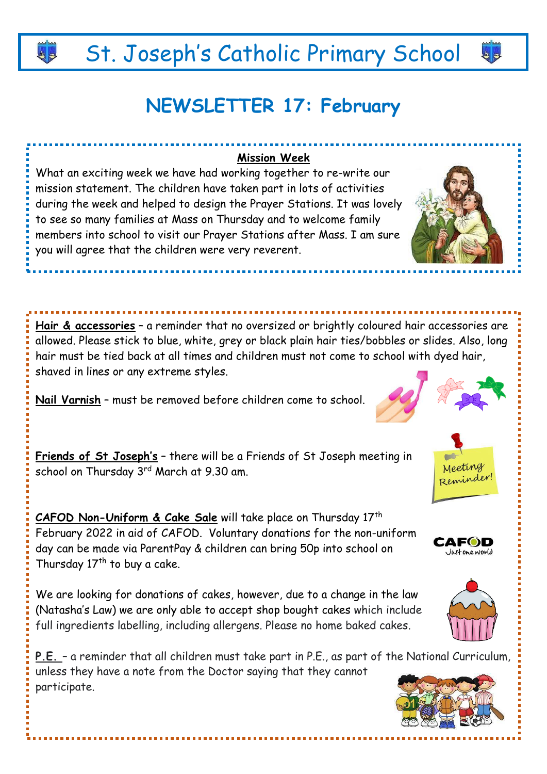## St. Joseph's Catholic Primary School

### **NEWSLETTER 17: February**

#### **Mission Week**

What an exciting week we have had working together to re-write our mission statement. The children have taken part in lots of activities during the week and helped to design the Prayer Stations. It was lovely to see so many families at Mass on Thursday and to welcome family members into school to visit our Prayer Stations after Mass. I am sure you will agree that the children were very reverent.

**Hair & accessories** – a reminder that no oversized or brightly coloured hair accessories are allowed. Please stick to blue, white, grey or black plain hair ties/bobbles or slides. Also, long hair must be tied back at all times and children must not come to school with dyed hair, shaved in lines or any extreme styles.

**Nail Varnish** – must be removed before children come to school.

**Friends of St Joseph's** – there will be a Friends of St Joseph meeting in school on Thursday 3rd March at 9.30 am.

**CAFOD Non-Uniform & Cake Sale** will take place on Thursday 17th February 2022 in aid of CAFOD. Voluntary donations for the non-uniform day can be made via ParentPay & children can bring 50p into school on Thursday 17<sup>th</sup> to buy a cake.

We are looking for donations of cakes, however, due to a change in the law (Natasha's Law) we are only able to accept shop bought cakes which include full ingredients labelling, including allergens. Please no home baked cakes.

**P.E.** – a reminder that all children must take part in P.E., as part of the National Curriculum, unless they have a note from the Doctor saying that they cannot participate.









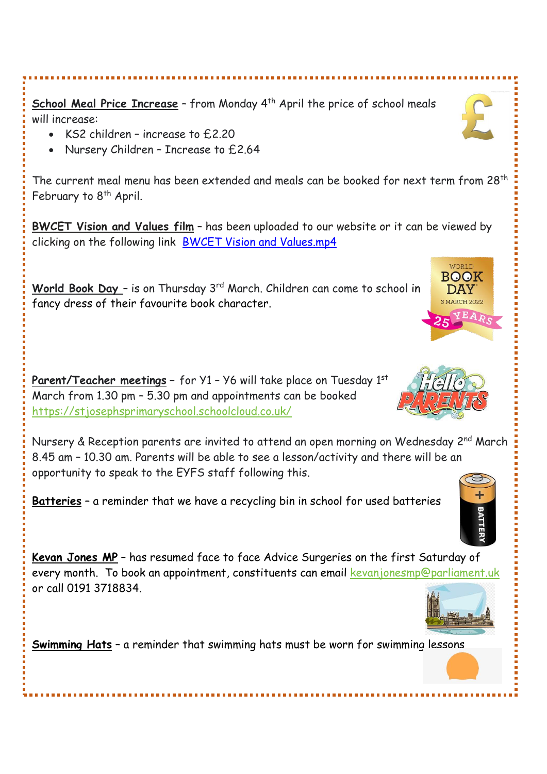**School Meal Price Increase** - from Monday 4<sup>th</sup> April the price of school meals will increase:

- KS2 children increase to £2.20
- Nursery Children Increase to £2.64

The current meal menu has been extended and meals can be booked for next term from 28<sup>th</sup> February to 8<sup>th</sup> April.

**BWCET Vision and Values film** – has been uploaded to our website or it can be viewed by clicking on the following link BWCET Vision and [Values.mp4](https://gbr01.safelinks.protection.outlook.com/?url=https%3A%2F%2Fbwcet-my.sharepoint.com%2F%3Av%3A%2Fp%2Fbrl%2FEZCvNW45HOFEoeSjgEPd6IkBMJUFyLuaSoOMtSuSbYZ_TQ%3Fe%3DY9r4X3&data=04%7C01%7Cbcowan%40stjs.bwcet.com%7Cfb9c80b8c3eb4ead6e8f08d9ebdd3f3f%7Cdc2301ac9dcf41af92b86eead97a5fa4%7C0%7C0%7C637800157754545095%7CUnknown%7CTWFpbGZsb3d8eyJWIjoiMC4wLjAwMDAiLCJQIjoiV2luMzIiLCJBTiI6Ik1haWwiLCJXVCI6Mn0%3D%7C3000&sdata=oFBJ0ZOKCqvcVAfgnDjwnXgt%2Fp5SMjYvy8F876PmHZc%3D&reserved=0)

World Book Day - is on Thursday 3<sup>rd</sup> March. Children can come to school in fancy dress of their favourite book character.

**Parent/Teacher meetings –** for Y1 – Y6 will take place on Tuesday 1 st March from 1.30 pm – 5.30 pm and appointments can be booked <https://stjosephsprimaryschool.schoolcloud.co.uk/>

Nursery & Reception parents are invited to attend an open morning on Wednesday 2<sup>nd</sup> March 8.45 am – 10.30 am. Parents will be able to see a lesson/activity and there will be an opportunity to speak to the EYFS staff following this.

**Batteries** – a reminder that we have a recycling bin in school for used batteries

**Kevan Jones MP** – has resumed face to face Advice Surgeries on the first Saturday of every month. To book an appointment, constituents can email [kevanjonesmp@parliament.uk](mailto:kevanjonesmp@parliament.uk) or call 0191 3718834.

**Swimming Hats** – a reminder that swimming hats must be worn for swimming lessons



**BOOK DAY** 







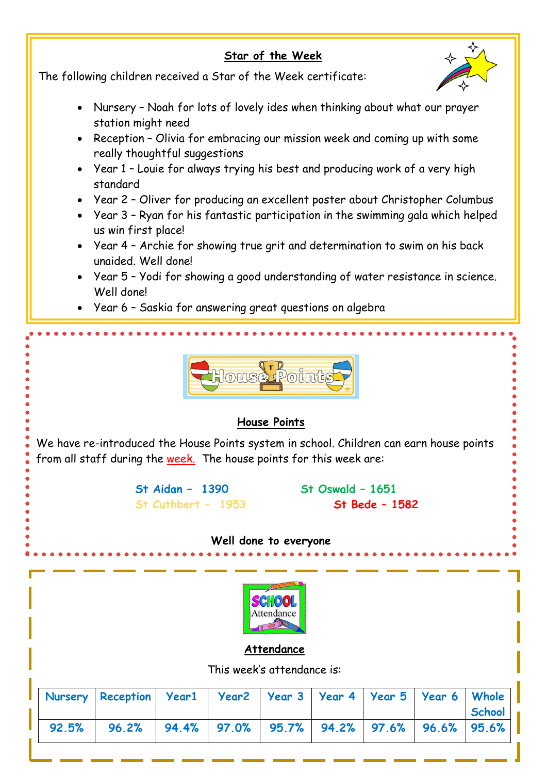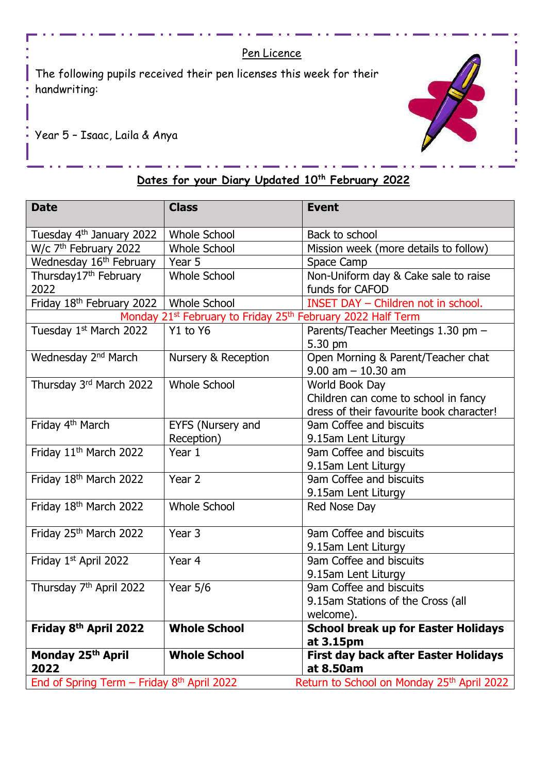#### Pen Licence

The following pupils received their pen licenses this week for their handwriting:



Year 5 – Isaac, Laila & Anya

#### **Dates for your Diary Updated 10th February 2022**

| <b>Date</b>                                                                         | <b>Class</b>        | <b>Event</b>                                           |
|-------------------------------------------------------------------------------------|---------------------|--------------------------------------------------------|
| Tuesday 4 <sup>th</sup> January 2022                                                | <b>Whole School</b> | Back to school                                         |
| W/c 7 <sup>th</sup> February 2022                                                   | <b>Whole School</b> | Mission week (more details to follow)                  |
| Wednesday 16 <sup>th</sup> February                                                 | Year 5              | Space Camp                                             |
| Thursday17 <sup>th</sup> February                                                   | <b>Whole School</b> | Non-Uniform day & Cake sale to raise                   |
| 2022                                                                                |                     | funds for CAFOD                                        |
| Friday 18 <sup>th</sup> February 2022                                               | <b>Whole School</b> | INSET DAY - Children not in school.                    |
| Monday 21 <sup>st</sup> February to Friday 25 <sup>th</sup> February 2022 Half Term |                     |                                                        |
| Tuesday 1st March 2022                                                              | Y1 to Y6            | Parents/Teacher Meetings 1.30 pm -                     |
|                                                                                     |                     | 5.30 pm                                                |
| Wednesday 2 <sup>nd</sup> March                                                     | Nursery & Reception | Open Morning & Parent/Teacher chat                     |
|                                                                                     |                     | $9.00$ am $-10.30$ am                                  |
| Thursday 3rd March 2022                                                             | <b>Whole School</b> | World Book Day                                         |
|                                                                                     |                     | Children can come to school in fancy                   |
|                                                                                     |                     | dress of their favourite book character!               |
| Friday 4 <sup>th</sup> March                                                        | EYFS (Nursery and   | 9am Coffee and biscuits                                |
|                                                                                     | Reception)          | 9.15am Lent Liturgy                                    |
| Friday 11 <sup>th</sup> March 2022                                                  | Year 1              | 9am Coffee and biscuits                                |
|                                                                                     |                     | 9.15am Lent Liturgy                                    |
| Friday 18 <sup>th</sup> March 2022                                                  | Year 2              | 9am Coffee and biscuits                                |
|                                                                                     |                     | 9.15am Lent Liturgy                                    |
| Friday 18th March 2022                                                              | <b>Whole School</b> | Red Nose Day                                           |
| Friday 25th March 2022                                                              | Year 3              | 9am Coffee and biscuits                                |
|                                                                                     |                     | 9.15am Lent Liturgy                                    |
| Friday 1st April 2022                                                               | Year 4              | 9am Coffee and biscuits                                |
|                                                                                     |                     | 9.15am Lent Liturgy                                    |
| Thursday 7 <sup>th</sup> April 2022                                                 | Year $5/6$          | 9am Coffee and biscuits                                |
|                                                                                     |                     | 9.15am Stations of the Cross (all                      |
|                                                                                     |                     | welcome).                                              |
| Friday 8 <sup>th</sup> April 2022                                                   | <b>Whole School</b> | <b>School break up for Easter Holidays</b>             |
|                                                                                     |                     | at 3.15pm                                              |
| Monday 25th April                                                                   | <b>Whole School</b> | <b>First day back after Easter Holidays</b>            |
| 2022                                                                                |                     | at 8.50am                                              |
| End of Spring Term $-$ Friday 8 <sup>th</sup> April 2022                            |                     | Return to School on Monday 25 <sup>th</sup> April 2022 |